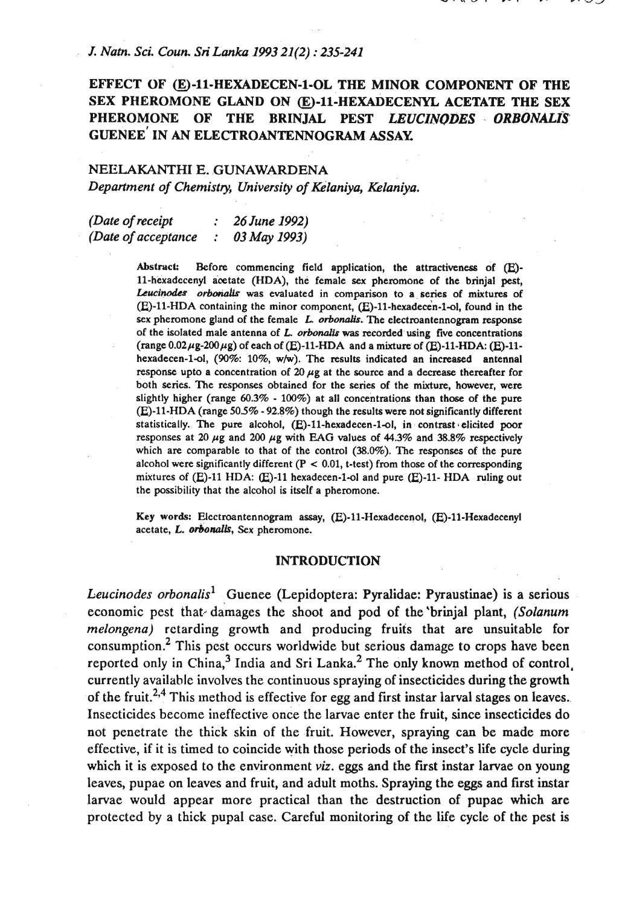### *J. Natn. Sci. Coun. Sri Lanka 1993 21(2) : 235-241*

# **EFFECT OF &)-11-HEXADECEN-1-OL THE MINOR COMPONENT OF THE SEX PHEROMONE GLAND ON (EJ-11-HEXADECENYL ACETATE THE SEX PHEROMONE OF THE BRINJAL PEST** *LEUCZNQDES ORBONAUS*  **GUENEE' IN AN ELECTROANTENNOGRAM ASSAY**

# NEHLAKANTHI E. **GUNAWARDENA**  *Department of Chemistry, University of Kelaniya, Kelaniya.*

*(Date of receipt* : *26 June 1992) (Date of acceptance* : *03 May 1993)* 

> Abstract: Before commencing field application, the attractiveness of (E)-11-hexadccenyl acetate (HDA), the female sex pheromone of the brinjal pest, Leucinodes orbonalls was evaluated in comparison to a series of mixtures of  $(E)$ -11-HDA containing the minor component,  $(E)$ -11-hexadecen-1-ol, found in the sex pheromone gland of the female L. orbonalis. The electroantennogram response of the isolated male antenna of L. orbonalis was recorded using five concentrations (range  $0.02 \mu$ g-200  $\mu$ g) of each of (E)-11-HDA and a mixture of (E)-11-HDA: (E)-11hexadecen-1-ol, (90%: 10%, w/w). The results indicated an increased antennal response upto a concentration of  $20 \mu g$  at the source and a decrease thereafter for both series. The responses obtained for the series of the mixture, however, were slightly higher (range  $60.3\%$  -  $100\%$ ) at all concentrations than those of the pure (E)-11-HDA (range 505% - 92.8%) though the results were not significantly different statistically. The pure alcohol,  $(E)$ -11-hexadecen-1-ol, in contrast elicited poor responses at 20  $\mu$ g and 200  $\mu$ g with EAG values of 44.3% and 38.8% respectively which are comparable to that of the control (38.0%). The responses of the pure alcohol were significantly different  $(P < 0.01$ , t-test) from those of the corresponding mixtures of (E)-11 HDA: (E)-11 hexadecen-1-ol and pure (E)-11- HDA ruling out the possibility that the alcohol is itself a pheromone.

> **Key words:** Electroantennogram assay, (E)-11-Hemdecenol, (E)-11-Hexadecenyl acetate, L. orbonalis, Sex pheromone.

#### **INTRODUCTION**

*Leucinodes orbonalisl* Guenee (Lepidoptera: Pyralidae: Pyraustinae) is a serious economic pest that damages the shoot and pod of the 'brinjal plant, *(Solanum melongena)* retarding growth and producing fruits that are unsuitable for consumption.<sup>2</sup> This pest occurs worldwide but serious damage to crops have been reported only in  $China<sup>3</sup>$  India and Sri Lanka.<sup>2</sup> The only known method of control, currently available involves the continuous spraying of insecticides during the growth of the fruit.<sup>2,4</sup> This method is effective for egg and first instar larval stages on leaves. Insecticides become ineffective once the larvae enter the fruit, since insecticides do not penetrate the thick skin of the fruit. However, spraying can be made more effective, if it is timed to coincide with those periods of the insect's lie cycle during which it is exposed to the environment *viz*. eggs and the first instar larvae on young leaves, pupae on leaves and fruit, and adult moths. Spraying the eggs and first instar larvae would appear more practical than the destruction of pupae which are protected by a thick pupal case. Careful monitoring of the life cycle of the pest is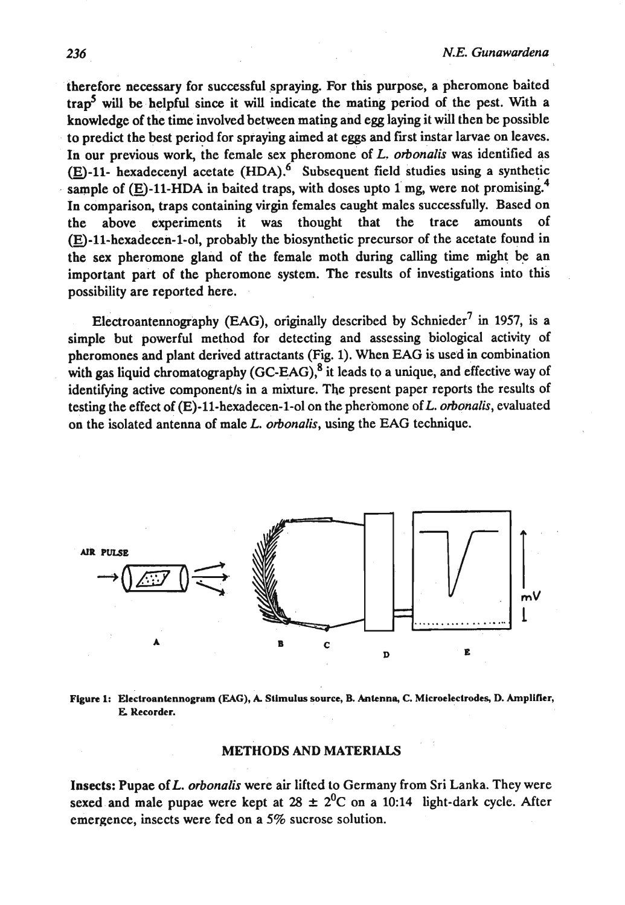therefore necessary for successful spraying. For this purpose, a pheromone baited trapS will be helpful since it **will** indicate the mating period of the pest. With a knowledge of the time involved between mating and egg laying it will then be possible to predict the best period for spraying aimed at eggs and first instar larvae on leaves. In our previous work, the female sex pheromone of L. orbonalis was identified as  $(E)$ -11- hexadecenyl acetate  $(HDA)$ .<sup>6</sup> Subsequent field studies using a synthetic sample of  $(E)$ -11-HDA in baited traps, with doses upto 1 mg, were not promising.<sup>4</sup> In comparison, traps containing virgin females caught males successfully. Based on the above experiments it was thought that the trace amounts of  $(E)$ -11-hexadecen-1-ol, probably the biosynthetic precursor of the acetate found in the sex pheromone gland of the female moth during calling time might be an important part of the pheromone system. The results of investigations into this possibility are reported here.

Electroantennography (EAG), originally described by schnieder7 in **1957,** is a simple but powerful method for detecting and assessing biological activity of pheromones and plant derived attractants (Fig. 1). When EAG is used in combination with gas liquid chromatography  $(GCEAG)$ , it leads to a unique, and effective way of identifying active component/s in a mixture. The present paper reports the results of testing the effect of  $(E)$ -11-hexadecen-1-ol on the pheromone of  $L$ . orbonalis, evaluated on the isolated antenna of male L. orbonalis, using the EAG technique.



**Figure 1: Eiectroantennogrum (JUG), A Stimulus source, B. Anknna, C. Microeleclrodeq D. Amplifier, E Recorder.** 

### **METHODS AND MATERIALS**

**Insects: Pupae of L. orbonalis were air lifted to Germany from Sri Lanka. They were** sexed and male pupae were kept at  $28 \pm 2^0C$  on a 10:14 light-dark cycle. After emergence, insects were fed on a **5%** sucrose solution.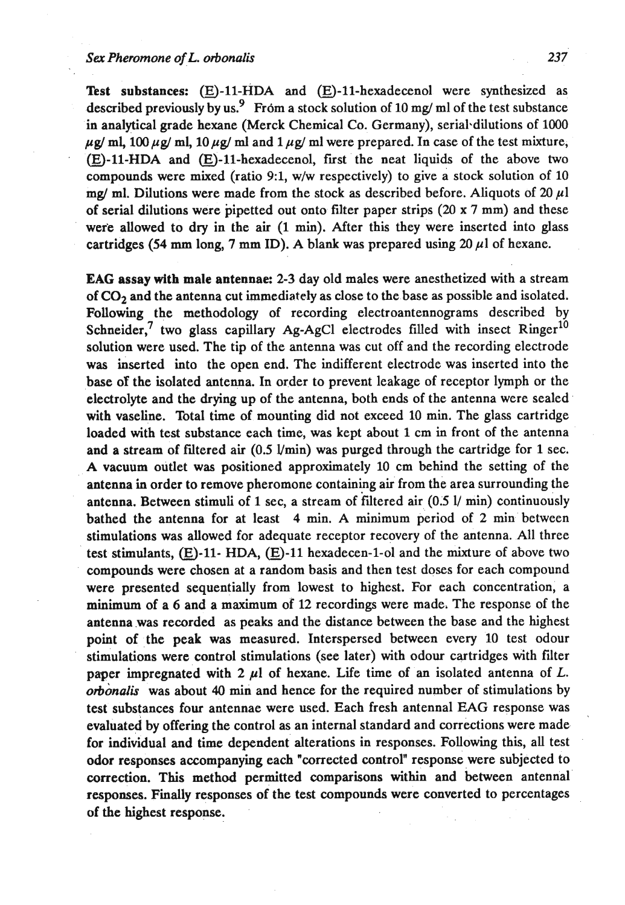Test substances: (E)-11-HDA and (E)-11-hexadecenol were synthesized as described previously by us.<sup>9</sup> From a stock solution of 10 mg/ ml of the test substance in analytical grade hexane (Merck Chemical **Co.** Germany), serial-dilutions of 1000  $\mu$ g/ ml, 100  $\mu$ g/ ml, 10  $\mu$ g/ ml and 1  $\mu$ g/ ml were prepared. In case of the test mixture,  $(E)$ -11-HDA and  $(E)$ -11-hexadecenol, first the neat liquids of the above two compounds were mixed (ratio **91,** wlw respectively) to give a stock solution of 10 mg/ ml. Dilutions were made from the stock as described before. Aliquots of 20  $\mu$ l of serial dilutions were pipetted out onto filter paper strips (20 x 7 mm) and these were allowed to dry in the air (1 min). After this they were inserted into glass cartridges (54 mm long, 7 mm ID). A blank was prepared using  $20 \mu l$  of hexane.

EAG assay with male antennae: 2-3 day old males were anesthetized with a stream of **C02** and the antenna cut immediately as close to the base as possible and isolated. Following the methodology of recording electroantennograms described by Schneider,<sup>7</sup> two glass capillary Ag-AgCl electrodes filled with insect  $Ringer^{10}$ solution were used. The tip of the antenna was cut off and the recording electrode was inserted into the open end. The indifferent electrode was inserted into the base of the isolated antenna. In order to prevent leakage of receptor lymph or the electrolyte and the drying up of the antenna, both ends of the antenna were sealed with vaseline. Total time of mounting did not exceed 10 min. The glass cartridge loaded with test substance each time, was kept about 1 cm in front of the antenna and a stream of filtered air  $(0.5 \text{ Vmin})$  was purged through the cartridge for 1 sec. A vacuum outlet was positioned approximately 10 cm behind the setting of the antenna in order to remove pheromone containing air from the area surrounding the antenna. Between stimuli of 1 sec, a stream of filtered air  $(0.5 \text{ l/m})$  continuously bathed the antenna for at least 4 min. A minimum period of 2 min between stimulations was allowed for adequate receptor recovery of the antenna. All three test stimulants,  $(E)$ -11- HDA,  $(E)$ -11 hexadecen-1-ol and the mixture of above two compounds were chosen at a random basis and then test doses for each compound were presented sequentially from lowest to highest. For each concentration, a minimum of a 6 and a maximum of 12 recordings were made, The response of the antenna was recorded as peaks and the distance between the base and the highest point of the peak was measured. Interspersed between every 10 test odour stimulations were control stimulations (see later) with odour cartridges with filter paper impregnated with  $2 \mu l$  of hexane. Life time of an isolated antenna of L. **orbonalis** was about **40** min and hence for the required number of stimulations by test substances four antennae were used. Each fresh antennal EAG response was evaluated by offering the control as an internal standard and corrections were made for individual and time dependent alterations in responses. Following this, all test odor responses accompanying each "corrected control" response were subjected to correction. This method permitted comparisons within and between antennal responses. Finally responses of the test compounds were converted to percentages of the highest response.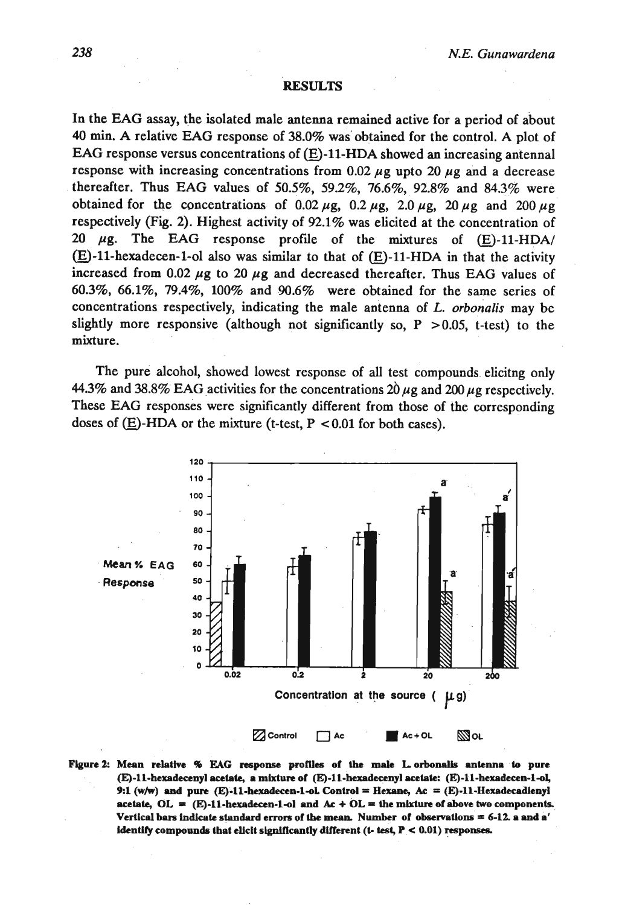## **RESULTS**

In the EAG assay, the isolated male antenna remained active for a period of about 40 min. A relative EAG response of 38.0% was obtained for the control. A plot of EAG response versus concentrations of  $(E)-11-HDA$  showed an increasing antennal response with increasing concentrations from 0.02  $\mu$ g upto 20  $\mu$ g and a decrease thereafter. Thus EAG values of 50.5%, 59.2%, 76.6%, 92.8% and 84.3% were obtained for the concentrations of  $0.02 \mu$ g,  $0.2 \mu$ g,  $2.0 \mu$ g,  $20 \mu$ g and  $200 \mu$ g respectively (Fig. 2). Highest activity of 92.1% was elicited at the concentration of 20  $\mu$ g. The EAG response profile of the mixtures of  $(E)$ -11-HDA/  $(E)$ -11-hexadecen-1-ol also was similar to that of  $(E)$ -11-HDA in that the activity increased from  $0.02 \mu$ g to  $20 \mu$ g and decreased thereafter. Thus EAG values of 60.3%, 66.1%, 79.4%, 100% and 90.6% were obtained for the same series of concentrations respectively, indicating the male antenna of L. **orbonalis** may be slightly more responsive (although not significantly so,  $P > 0.05$ , t-test) to the mixture.

The pure alcohol, showed lowest response of all test compounds elicitng only 44.3% and 38.8% EAG activities for the concentrations  $20 \mu$ g and  $200 \mu$ g respectively. These EAG responses were significantly different from those of the corresponding doses of  $(E)$ -HDA or the mixture (t-test, P < 0.01 for both cases).



**Figure 2:** Mean relative % EAG response profiles of the male L orbonalis antenna to pure (E)-11-hexadecenyl acetate, a mixture of (E)-11-hexadecenyl acetate: (E)-11-hexadecen-1-ol, **9:1 (w/w) and pure (E)-11-hexadecen-1-ol. Control = Hexane,**  $Ac = (E)-11$ **-Hexadecadienyl**  $\textbf{a}$  cetate,  $\textbf{OL} = (\textbf{E})-11$ -hexadecen-1-ol and  $\textbf{Ac} + \textbf{OL} = \textbf{the mixture of above two components.}$  $V$ ertical bars indicate standard errors of the mean. Number of observations = 6-12. a and a' **identify compounds that elicit significantly different (t- test,**  $P < 0.01$ **) responses.**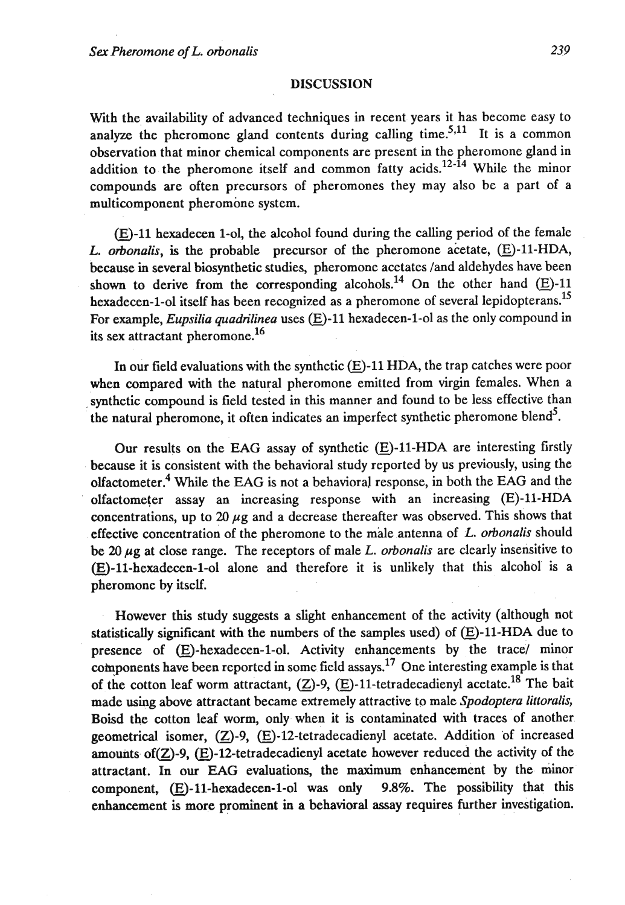#### **DISCUSSION**

With the availability of advanced techniques in recent years it has become easy to analyze the pheromone gland contents during calling time.<sup>5,11</sup> It is a common observation that minor chemical components are present in the pheromone gland in addition to the pheromone itself and common fatty acids.<sup>12-14</sup> While the minor compounds are often precursors of pheromones they may also be a part of a multicomponent pheromone system.

 $(E)$ -11 hexadecen 1-ol, the alcohol found during the calling period of the female L. orbonalis, is the probable precursor of the pheromone acetate,  $(E)$ -11-HDA, because in several biosynthetic studies, pheromone acetates /and aldehydes have been shown to derive from the corresponding alcohols.<sup>14</sup> On the other hand  $(E)$ -11 hexadecen-1-ol itself has been recognized as a pheromone of several lepidopterans.<sup>15</sup> For example, *Eupsilia quadrilinea* uses  $(E)$ -11 hexadecen-1-ol as the only compound in its sex attractant pheromone.16

In our field evaluations with the synthetic  $(E)$ -11 HDA, the trap catches were poor when compared with the natural pheromone emitted from virgin females. When a synthetic compound is field tested in this manner and found to be less effective than the natural pheromone, it often indicates an imperfect synthetic pheromone blend<sup>5</sup>.

Our results on the EAG assay of synthetic  $(E)$ -11-HDA are interesting firstly because it is consistent with the behavioral study reported by us previously, using the olfactometer.<sup>4</sup> While the EAG is not a behavioral response, in both the EAG and the olfactometer assay an increasing response with an increasing (E)-11-HDA concentrations, up to 20  $\mu$ g and a decrease thereafter was observed. This shows that effective concentration of the pheromone to the male antenna of  $L$ . orbonalis should be 20  $\mu$ g at close range. The receptors of male *L. orbonalis* are clearly insensitive to  $(E)$ -11-hexadecen-1-ol alone and therefore it is unlikely that this alcohol is a pheromone by itself.

However this study suggests a slight enhancement of the activity (although not statistically significant with the numbers of the samples used) of  $(E)$ -11-HDA due to presence of  $(E)$ -hexadecen-1-ol. Activity enhancements by the trace/ minor components have been reported in some field assays.<sup>17</sup> One interesting example is that of the cotton leaf worm attractant,  $(Z)$ -9,  $(E)$ -11-tetradecadienyl acetate.<sup>18</sup> The bait made using above attractant became extremely attractive to male Spodoptera littoralis, Boisd the cotton leaf worm, only when it is contaminated with traces of another geometrical isomer, (Z)-9, (E)-12-tetradecadienyl acetate. Addition of increased amounts of  $(Z)$ -9,  $(E)$ -12-tetradecadienyl acetate however reduced the activity of the attractant. In our EAG evaluations, the **maximum** enhancement by the minor component,  $(E)$ -11-hexadecen-1-ol was only 9.8%. The possibility that this enhancement is more prominent in a behavioral **assay** requires further investigation.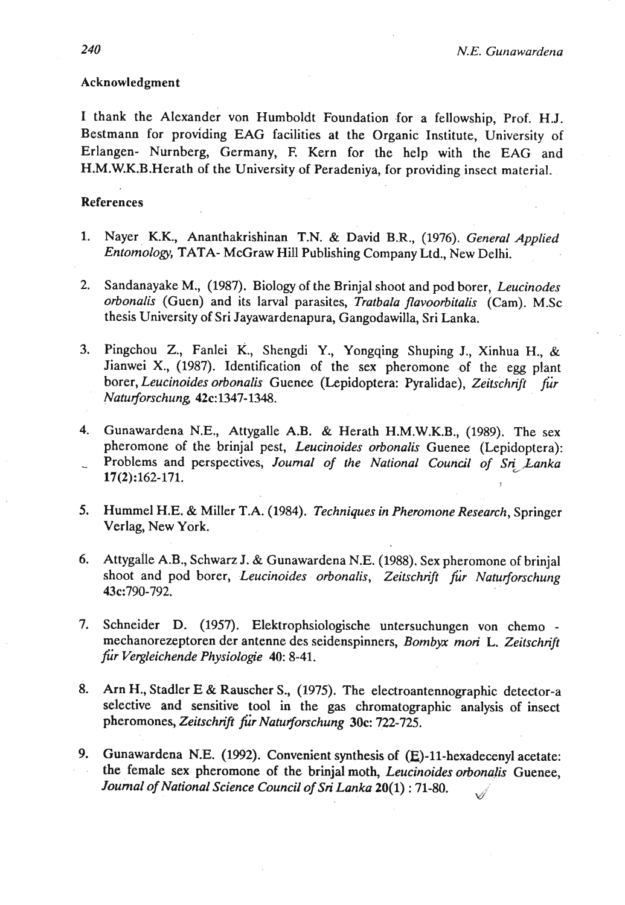## Acknowledgment

I thank the Alexander von Humboldt Foundation for a fellowship, Prof. HJ. Bestmann for providing EAG facilities at the Organic Institute, University of Erlangen- Nurnberg, Germany, F. Kern for the help with the EAG and H.M.W.K.B.Herath of the University of Peradeniya, for providing insect material.

### References

- 1. Nayer K.K., Ananthakrishinan T.N. & David B.R., (1976). *General Applied Entomology,* TATA- McGraw Hill Publishing Company Ltd., New Delhi.
- 2. Sandanayake M., (1987). Biology of the Brinjal shoot and pod borer, *Leucinodes orbonalis* (Guen) and its larval parasites, *Tratbala flavoorbitalis* (Cam). M.Sc thesis University of Sri Jayawardenapura, Gangodawilla, Sri Lanka.
- 3. Pingchou Z., Fanlei K., Shengdi Y., Yongqing Shuping J., Xinhua H., & Jianwei X.,  $(1987)$ . Identification of the sex pheromone of the egg plant borer, *Leucinoides orbonalis* Guenee (Lepidoptera: Pyralidae), *Zeilichrijl fur Naturforschung,* 42c: 1347-1348.
- 4. Gunawardena N.E., Attygalle A.B. & Herath H.M.W.K.B., (1989). The sex pheromone of the brinjal pest, *Leucinoides orbonalis* Guenee (Lepidoptera): Problems and perspectives, Journal of the National Council of Sri Lanka 17(2):162-171.
- 5. **Hummel H.E. & Miller T.A. (1984).** *Techniques in Pheromone Research*, *Springer* Verlag, New York.
- **6.** Attygalle A.B., Schwarz J. & Gunawardena N.E. (1988). Sex pheromone of brinjal shoot and pod borer, *Leucinoides orbonalis, Zeitschrift fir Natuforschung*  43c:790-792.
- 7. Schneider D. (1957). Elektrophsiologische untersuchungen von chemo mechanorezeptoren der antenne des seidenspinners, *Bombyx mori L. Zeitschrift fir Vetgleichende Physiologie 40:* 8-41.
- **8.** Am H., Stadler E & Rauscher S., (1975). The electroantennographic detector-a selective and sensitive tool in the gas chromatographic analysis of insect pheromones, *Zeitschn'ft* fir *Natut\$orschung* **30c:** 722-725.
- 9. Gunawardena N.E. (1992). Convenient synthesis of (E)-11-hexadecenyl acetate: the female sex pheromone of the brinjal moth, *Leucinoides orbonalis* Guenee, *Journal of National Science Council of Sri Lanka* **20(1)** : 71-80. Í